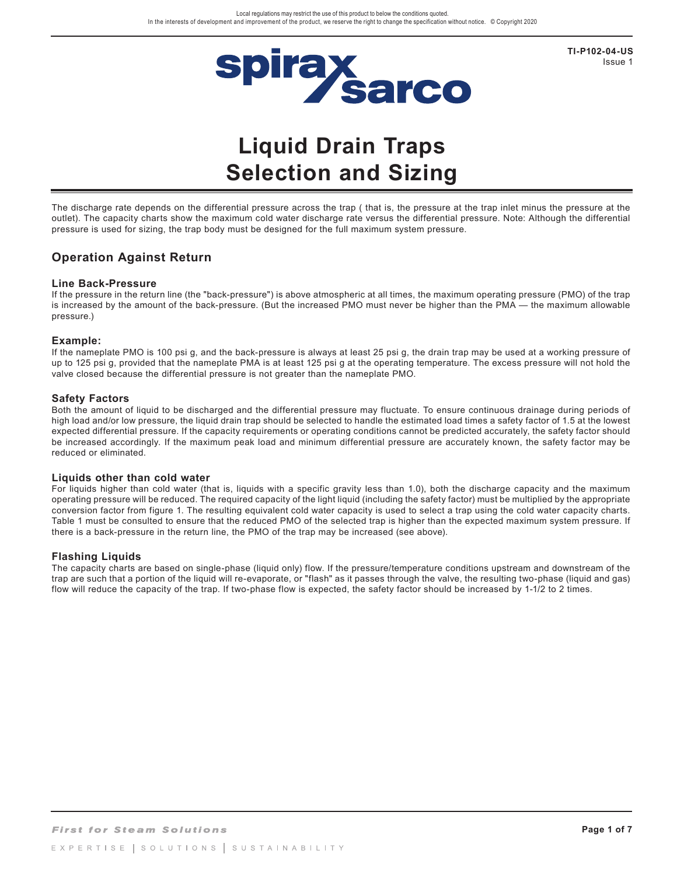

**TI-P102-04-US** Issue 1

# **Liquid Drain Traps Selection and Sizing**

The discharge rate depends on the differential pressure across the trap ( that is, the pressure at the trap inlet minus the pressure at the outlet). The capacity charts show the maximum cold water discharge rate versus the differential pressure. Note: Although the differential pressure is used for sizing, the trap body must be designed for the full maximum system pressure.

### **Operation Against Return**

#### **Line Back-Pressure**

If the pressure in the return line (the "back-pressure") is above atmospheric at all times, the maximum operating pressure (PMO) of the trap is increased by the amount of the back-pressure. (But the increased PMO must never be higher than the PMA — the maximum allowable pressure.)

#### **Example:**

If the nameplate PMO is 100 psi g, and the back-pressure is always at least 25 psi g, the drain trap may be used at a working pressure of up to 125 psi g, provided that the nameplate PMA is at least 125 psi g at the operating temperature. The excess pressure will not hold the valve closed because the differential pressure is not greater than the nameplate PMO.

#### **Safety Factors**

Both the amount of liquid to be discharged and the differential pressure may fluctuate. To ensure continuous drainage during periods of high load and/or low pressure, the liquid drain trap should be selected to handle the estimated load times a safety factor of 1.5 at the lowest expected differential pressure. If the capacity requirements or operating conditions cannot be predicted accurately, the safety factor should be increased accordingly. If the maximum peak load and minimum differential pressure are accurately known, the safety factor may be reduced or eliminated.

#### **Liquids other than cold water**

For liquids higher than cold water (that is, liquids with a specific gravity less than 1.0), both the discharge capacity and the maximum operating pressure will be reduced. The required capacity of the light liquid (including the safety factor) must be multiplied by the appropriate conversion factor from figure 1. The resulting equivalent cold water capacity is used to select a trap using the cold water capacity charts. Table 1 must be consulted to ensure that the reduced PMO of the selected trap is higher than the expected maximum system pressure. If there is a back-pressure in the return line, the PMO of the trap may be increased (see above).

#### **Flashing Liquids**

The capacity charts are based on single-phase (liquid only) flow. If the pressure/temperature conditions upstream and downstream of the trap are such that a portion of the liquid will re-evaporate, or "flash" as it passes through the valve, the resulting two-phase (liquid and gas) flow will reduce the capacity of the trap. If two-phase flow is expected, the safety factor should be increased by 1-1/2 to 2 times.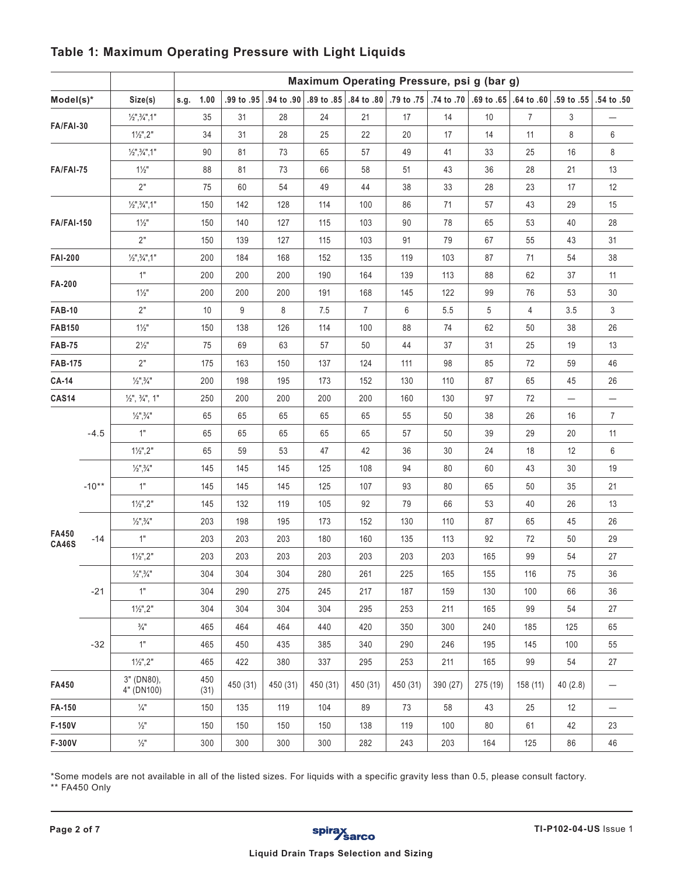|                                     |         |                                    | Maximum Operating Pressure, psi g (bar g) |            |          |          |                |          |          |          |                |                                                                                                 |                 |
|-------------------------------------|---------|------------------------------------|-------------------------------------------|------------|----------|----------|----------------|----------|----------|----------|----------------|-------------------------------------------------------------------------------------------------|-----------------|
| Model(s)*                           |         | Size(s)                            | 1.00<br>s.g.                              | .99 to .95 |          |          |                |          |          |          |                | .55 . 50 .59 .60 .60 .60 .64 .60 .69 .69 .79 to .75 .74 to .70 .69 .64 .69 .64 .69 .09 .64 .69. | .54 to .50      |
|                                     |         | $1/2$ ", $3/4$ ", 1"               | 35                                        | 31         | 28       | 24       | 21             | 17       | 14       | 10       | $\overline{7}$ | 3                                                                                               |                 |
| FA/FAI-30                           |         | $1\frac{1}{2}$ ", 2"               | 34                                        | 31         | 28       | 25       | 22             | 20       | 17       | 14       | 11             | 8                                                                                               | 6               |
|                                     |         | $1/2$ ", $3/4$ ", 1"               | 90                                        | 81         | 73       | 65       | 57             | 49       | 41       | 33       | 25             | 16                                                                                              | 8               |
| FA/FAI-75                           |         | $1\frac{1}{2}$                     | 88                                        | 81         | 73       | 66       | 58             | 51       | 43       | 36       | 28             | 21                                                                                              | 13              |
|                                     |         | 2"                                 | 75                                        | 60         | 54       | 49       | 44             | 38       | 33       | 28       | 23             | 17                                                                                              | 12              |
| <b>FA/FAI-150</b><br><b>FAI-200</b> |         | $1/2$ ", $3/4$ ", 1"               | 150                                       | 142        | 128      | 114      | 100            | 86       | 71       | 57       | 43             | 29                                                                                              | 15              |
|                                     |         | $1\frac{1}{2}$                     | 150                                       | 140        | 127      | 115      | 103            | 90       | 78       | 65       | 53             | 40                                                                                              | 28              |
|                                     |         | 2"                                 | 150                                       | 139        | 127      | 115      | 103            | 91       | 79       | 67       | 55             | 43                                                                                              | 31              |
|                                     |         | $1/2$ ", $3/4$ ", 1"               | 200                                       | 184        | 168      | 152      | 135            | 119      | 103      | 87       | 71             | 54                                                                                              | 38              |
| FA-200                              |         | 1"                                 | 200                                       | 200        | 200      | 190      | 164            | 139      | 113      | 88       | 62             | 37                                                                                              | 11              |
|                                     |         | $1\frac{1}{2}$ "                   | 200                                       | 200        | 200      | 191      | 168            | 145      | 122      | 99       | 76             | 53                                                                                              | 30              |
| <b>FAB-10</b>                       |         | 2"                                 | 10                                        | 9          | 8        | 7.5      | $\overline{7}$ | 6        | 5.5      | 5        | $\overline{4}$ | 3.5                                                                                             | 3               |
| <b>FAB150</b>                       |         | $1\frac{1}{2}$ "                   | 150                                       | 138        | 126      | 114      | 100            | 88       | 74       | 62       | 50             | 38                                                                                              | 26              |
| <b>FAB-75</b>                       |         | $2\frac{1}{2}$ "                   | 75                                        | 69         | 63       | 57       | 50             | 44       | 37       | 31       | 25             | 19                                                                                              | 13              |
| <b>FAB-175</b>                      |         | 2"                                 | 175                                       | 163        | 150      | 137      | 124            | 111      | 98       | 85       | 72             | 59                                                                                              | 46              |
| <b>CA-14</b>                        |         | $\frac{1}{2}$ ", $\frac{3}{4}$ "   | 200                                       | 198        | 195      | 173      | 152            | 130      | 110      | 87       | 65             | 45                                                                                              | 26              |
| <b>CAS14</b>                        |         | $\frac{1}{2}$ , $\frac{3}{4}$ , 1" | 250                                       | 200        | 200      | 200      | 200            | 160      | 130      | 97       | 72             |                                                                                                 |                 |
|                                     | $-4.5$  | $\frac{1}{2}$ ", $\frac{3}{4}$ "   | 65                                        | 65         | 65       | 65       | 65             | 55       | 50       | 38       | 26             | 16                                                                                              | $\overline{7}$  |
|                                     |         | 1"                                 | 65                                        | 65         | 65       | 65       | 65             | 57       | 50       | 39       | 29             | 20                                                                                              | 11              |
|                                     |         | $1\frac{1}{2}$ ", 2"               | 65                                        | 59         | 53       | 47       | 42             | 36       | 30       | 24       | 18             | 12                                                                                              | 6               |
|                                     |         | $\frac{1}{2}$ ", $\frac{3}{4}$ "   | 145                                       | 145        | 145      | 125      | 108            | 94       | 80       | 60       | 43             | 30                                                                                              | 19              |
|                                     | $-10**$ | 1"                                 | 145                                       | 145        | 145      | 125      | 107            | 93       | 80       | 65       | 50             | 35                                                                                              | 21              |
|                                     |         | $1\frac{1}{2}$ ", 2"               | 145                                       | 132        | 119      | 105      | 92             | 79       | 66       | 53       | 40             | 26                                                                                              | 13              |
|                                     |         | $\frac{1}{2}$ ", $\frac{3}{4}$ "   | 203                                       | 198        | 195      | 173      | 152            | 130      | 110      | 87       | 65             | 45                                                                                              | 26              |
| FA450<br><b>CA46S</b>               | $-14$   | 1"                                 | 203                                       | 203        | 203      | 180      | 160            | 135      | 113      | 92       | 72             | 50                                                                                              | 29              |
|                                     |         | $1\frac{1}{2}$ ", 2"               | 203                                       | 203        | 203      | 203      | 203            | 203      | 203      | 165      | 99             | 54                                                                                              | 27              |
|                                     |         | $1/2$ ", $3/4$ "                   | 304                                       | 304        | 304      | 280      | 261            | 225      | 165      | 155      | 116            | 75                                                                                              | 36              |
|                                     | $-21$   | 1"                                 | 304                                       | 290        | 275      | 245      | 217            | 187      | 159      | 130      | 100            | 66                                                                                              | 36              |
|                                     |         | $1\frac{1}{2}$ ", 2"               | 304                                       | 304        | 304      | 304      | 295            | 253      | 211      | 165      | 99             | 54                                                                                              | 27              |
|                                     | $-32$   | $\frac{3}{4}$ "                    | 465                                       | 464        | 464      | 440      | 420            | 350      | 300      | 240      | 185            | 125                                                                                             | 65              |
|                                     |         | 1"                                 | 465                                       | 450        | 435      | 385      | 340            | 290      | 246      | 195      | 145            | 100                                                                                             | 55              |
|                                     |         | $1\frac{1}{2}$ ", 2"               | 465                                       | 422        | 380      | 337      | 295            | 253      | 211      | 165      | 99             | 54                                                                                              | 27              |
| FA450                               |         | 3" (DN80),<br>4" (DN100)           | 450<br>(31)                               | 450 (31)   | 450 (31) | 450 (31) | 450 (31)       | 450 (31) | 390 (27) | 275 (19) | 158 (11)       | 40(2.8)                                                                                         | $\qquad \qquad$ |
| FA-150                              |         | $\frac{1}{4}$ "                    | 150                                       | 135        | 119      | 104      | 89             | 73       | 58       | 43       | 25             | 12                                                                                              |                 |
| F-150V                              |         | $\frac{1}{2}$                      | 150                                       | 150        | 150      | 150      | 138            | 119      | 100      | 80       | 61             | 42                                                                                              | 23              |
| F-300V                              |         | $\frac{1}{2}$                      | 300                                       | 300        | 300      | 300      | 282            | 243      | 203      | 164      | 125            | 86                                                                                              | 46              |

### **Table 1: Maximum Operating Pressure with Light Liquids**

\*Some models are not available in all of the listed sizes. For liquids with a specific gravity less than 0.5, please consult factory. \*\* FA450 Only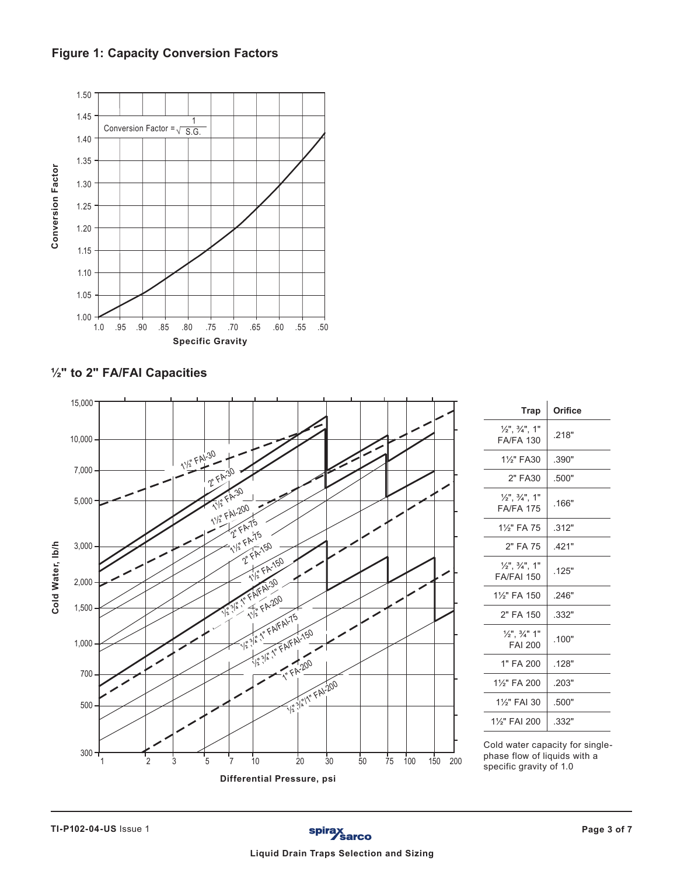**Figure 1: Capacity Conversion Factors**



**½" to 2" FA/FAI Capacities** 



| <b>Trap</b>                                             | Orifice |
|---------------------------------------------------------|---------|
| $\frac{1}{2}$ , $\frac{3}{4}$ , 1"<br><b>FA/FA 130</b>  | .218"   |
| 11/ <sub>2</sub> " FA30                                 | .390"   |
| 2" FA30                                                 | .500"   |
| $\frac{1}{2}$ , $\frac{3}{4}$ , 1"<br><b>FA/FA 175</b>  | .166"   |
| 11/ <sub>2</sub> " FA 75                                | .312"   |
| 2" FA 75                                                | .421"   |
| $\frac{1}{2}$ , $\frac{3}{4}$ , 1"<br><b>FA/FAI 150</b> | .125"   |
| 11/ <sub>2</sub> " FA 150                               | 246"    |
| 2" FA 150                                               | .332"   |
| $\frac{1}{2}$ ", $\frac{3}{4}$ " 1"<br><b>FAI 200</b>   | .100"   |
| 1" FA 200                                               | .128"   |
| 1%" FA 200                                              | .203"   |
| 1%" FAI 30                                              | .500"   |
| 1%" FAI 200                                             | .332"   |
|                                                         |         |

Cold water capacity for singlephase flow of liquids with a specific gravity of 1.0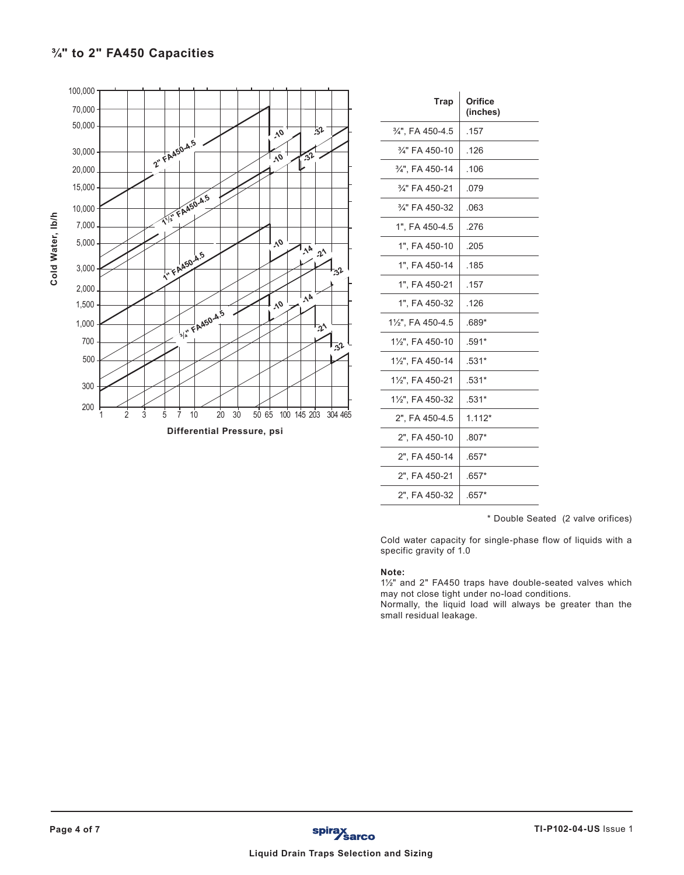# **¾" to 2" FA450 Capacities**



| Trap              | Orifice<br>(inches) |
|-------------------|---------------------|
| 3/4", FA 450-4.5  | .157                |
| 3/4" FA 450-10    | .126                |
| 3/4". FA 450-14   | .106                |
| 3/4" FA 450-21    | .079                |
| 3/4" FA 450-32    | .063                |
| 1". FA 450-4.5    | .276                |
| 1", FA 450-10     | .205                |
| 1". FA 450-14     | .185                |
| 1". FA 450-21     | .157                |
| 1". FA 450-32     | .126                |
| 11/2", FA 450-4.5 | $.689*$             |
| 11/2", FA 450-10  | $.591*$             |
| 11/2", FA 450-14  | $.531*$             |
| 11/2", FA 450-21  | $.531*$             |
| 11/2", FA 450-32  | $.531*$             |
| 2", FA 450-4.5    | $1.112*$            |
| 2". FA 450-10     | $.807*$             |
| 2". FA 450-14     | $.657*$             |
| 2", FA 450-21     | $.657*$             |
| 2". FA 450-32     | $.657*$             |

\* Double Seated (2 valve orifices)

Cold water capacity for single-phase flow of liquids with a specific gravity of 1.0

#### **Note:**

1½" and 2" FA450 traps have double-seated valves which may not close tight under no-load conditions.

Normally, the liquid load will always be greater than the small residual leakage.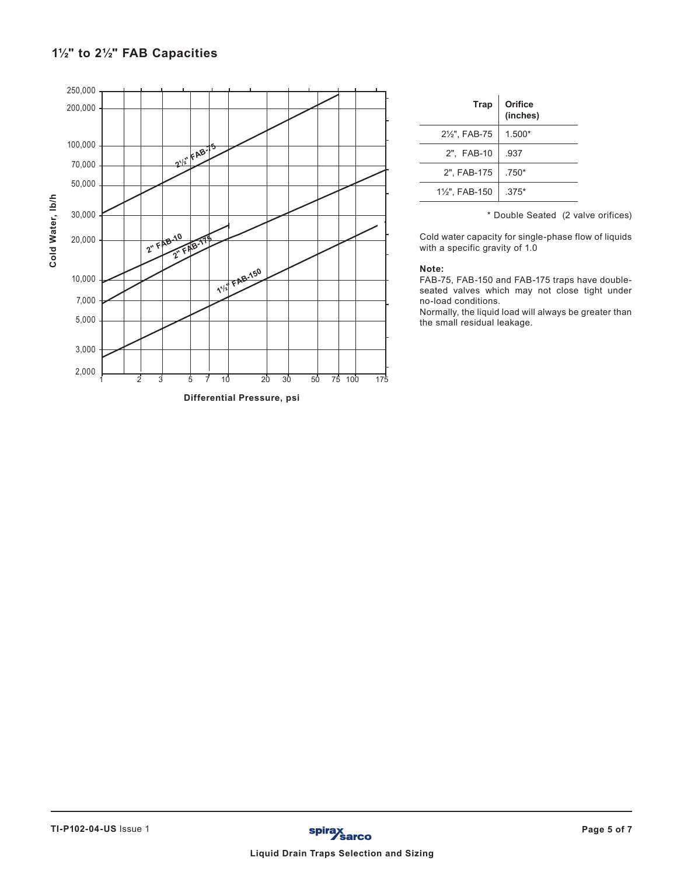# **1½" to 2½" FAB Capacities**



| <b>Trap</b>                | Orifice<br>(inches) |
|----------------------------|---------------------|
| 21/ <sub>2</sub> ", FAB-75 | $1.500*$            |
| 2", FAB-10                 | .937                |
| 2", FAB-175                | $.750*$             |
| 11/2", FAB-150             | $.375*$             |

\* Double Seated (2 valve orifices)

Cold water capacity for single-phase flow of liquids with a specific gravity of 1.0

#### **Note:**

FAB-75, FAB-150 and FAB-175 traps have doubleseated valves which may not close tight under no-load conditions.

Normally, the liquid load will always be greater than the small residual leakage.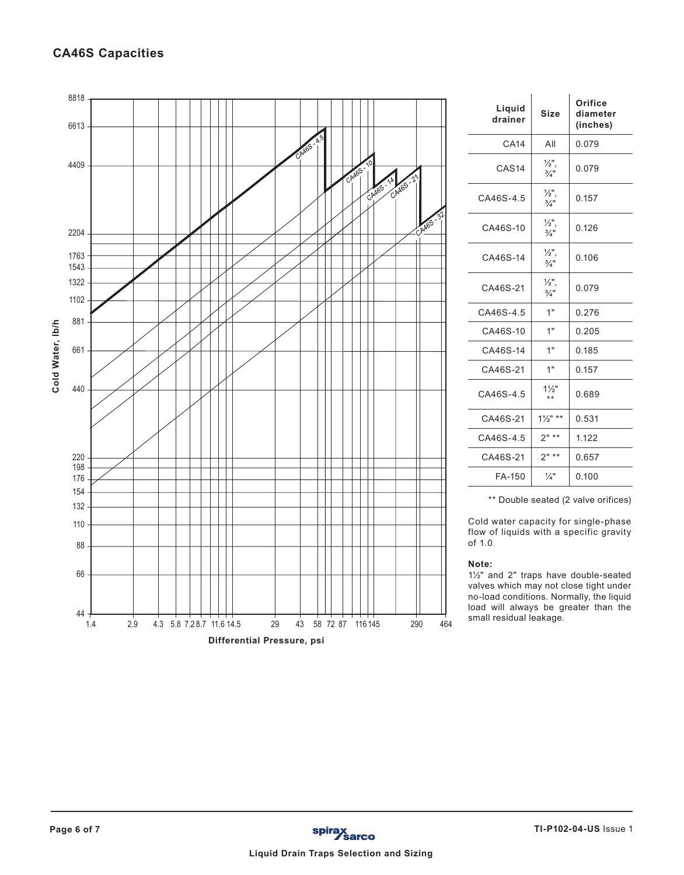## **CA46S Capacities**



| Liquid<br>drainer | Size                                | Orifice<br>diameter<br>(inches) |  |  |
|-------------------|-------------------------------------|---------------------------------|--|--|
| <b>CA14</b>       | All                                 | 0.079                           |  |  |
| CAS <sub>14</sub> | $\frac{1}{2}$ ,<br>$\frac{3}{4}$ "  | 0.079                           |  |  |
| CA46S-4.5         | 1∕2",<br>$\frac{3}{4}$ "            | 0.157                           |  |  |
| CA46S-10          | $\frac{1}{2}$ ",<br>$\frac{3}{4}$ " | 0.126                           |  |  |
| CA46S-14          | $\frac{1}{2}$ ",<br>$\frac{3}{4}$ " | 0.106                           |  |  |
| CA46S-21          | $\frac{1}{2}$ ",<br>$\frac{3}{4}$ " | 0.079                           |  |  |
| CA46S-45          | 1"                                  | 0.276                           |  |  |
| CA46S-10          | 1"                                  | 0.205                           |  |  |
| CA46S-14          | 1"                                  | 0.185                           |  |  |
| CA46S-21          | 1"                                  | 0.157                           |  |  |
| CA46S-4.5         | $1\frac{1}{2}$ "<br>$***$           | 0.689                           |  |  |
| CA46S-21          | $1\frac{1}{2}$ " **                 | 0.531                           |  |  |
| CA46S-4.5         | $2" **$                             | 1.122                           |  |  |
| CA46S-21          | $2"$ **                             | 0.657                           |  |  |
| FA-150            | $\frac{1}{4}$ "                     | 0.100                           |  |  |

\*\* Double seated (2 valve orifices)

Cold water capacity for single-phase flow of liquids with a specific gravity of 1.0

#### **Note:**

1½" and 2" traps have double-seated valves which may not close tight under no-load conditions. Normally, the liquid load will always be greater than the small residual leakage.